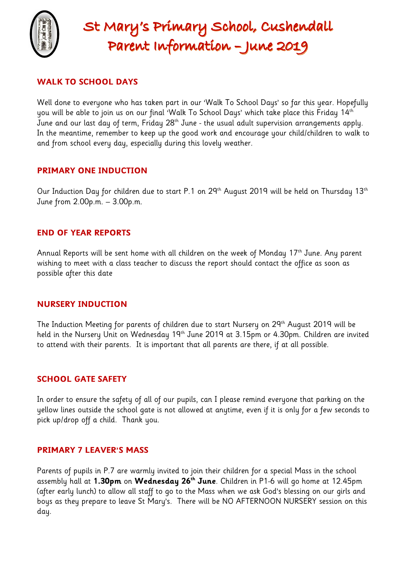

# St Mary's Primary School, Cushendall Parent Information - June 2019

# **WALK TO SCHOOL DAYS**

Well done to everyone who has taken part in our 'Walk To School Days' so far this year. Hopefully you will be able to join us on our final 'Walk To School Days' which take place this Friday 14th June and our last day of term, Friday  $28<sup>th</sup>$  June - the usual adult supervision arrangements apply. In the meantime, remember to keep up the good work and encourage your child/children to walk to and from school every day, especially during this lovely weather.

# **PRIMARY ONE INDUCTION**

Our Induction Day for children due to start P.1 on 29<sup>th</sup> August 2019 will be held on Thursday 13<sup>th</sup> June from 2.00p.m. – 3.00p.m.

# **END OF YEAR REPORTS**

Annual Reports will be sent home with all children on the week of Monday  $17<sup>th</sup>$  June. Any parent wishing to meet with a class teacher to discuss the report should contact the office as soon as possible after this date

# **NURSERY INDUCTION**

The Induction Meeting for parents of children due to start Nursery on 29<sup>th</sup> August 2019 will be held in the Nursery Unit on Wednesday 19<sup>th</sup> June 2019 at 3.15pm or 4.30pm. Children are invited to attend with their parents. It is important that all parents are there, if at all possible.

# **SCHOOL GATE SAFETY**

In order to ensure the safety of all of our pupils, can I please remind everyone that parking on the yellow lines outside the school gate is not allowed at anytime, even if it is only for a few seconds to pick up/drop off a child. Thank you.

#### **PRIMARY 7 LEAVER'S MASS**

Parents of pupils in P.7 are warmly invited to join their children for a special Mass in the school assembly hall at **1.30pm** on **Wednesday 26th June**. Children in P1-6 will go home at 12.45pm (after early lunch) to allow all staff to go to the Mass when we ask God's blessing on our girls and boys as they prepare to leave St Mary's. There will be NO AFTERNOON NURSERY session on this day.